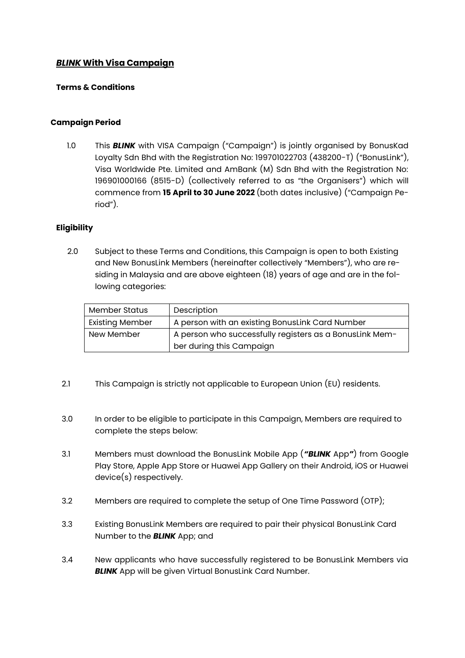# *BLINK* **With Visa Campaign**

### **Terms & Conditions**

### **Campaign Period**

1.0 This *BLINK* with VISA Campaign ("Campaign") is jointly organised by BonusKad Loyalty Sdn Bhd with the Registration No: 199701022703 (438200-T) ("BonusLink"), Visa Worldwide Pte. Limited and AmBank (M) Sdn Bhd with the Registration No: 196901000166 (8515-D) (collectively referred to as "the Organisers") which will commence from **15 April to 30 June 2022** (both dates inclusive) ("Campaign Period").

# **Eligibility**

2.0 Subject to these Terms and Conditions, this Campaign is open to both Existing and New BonusLink Members (hereinafter collectively "Members"), who are residing in Malaysia and are above eighteen (18) years of age and are in the following categories:

| <b>Member Status</b>   | Description                                             |  |
|------------------------|---------------------------------------------------------|--|
| <b>Existing Member</b> | A person with an existing BonusLink Card Number         |  |
| New Member             | A person who successfully registers as a BonusLink Mem- |  |
|                        | ber during this Campaign                                |  |

- 2.1 This Campaign is strictly not applicable to European Union (EU) residents.
- 3.0 In order to be eligible to participate in this Campaign, Members are required to complete the steps below:
- 3.1 Members must download the BonusLink Mobile App (*"BLINK* App*"*) from Google Play Store, Apple App Store or Huawei App Gallery on their Android, iOS or Huawei device(s) respectively.
- 3.2 Members are required to complete the setup of One Time Password (OTP);
- 3.3 Existing BonusLink Members are required to pair their physical BonusLink Card Number to the *BLINK* App; and
- 3.4 New applicants who have successfully registered to be BonusLink Members via **BLINK** App will be given Virtual BonusLink Card Number.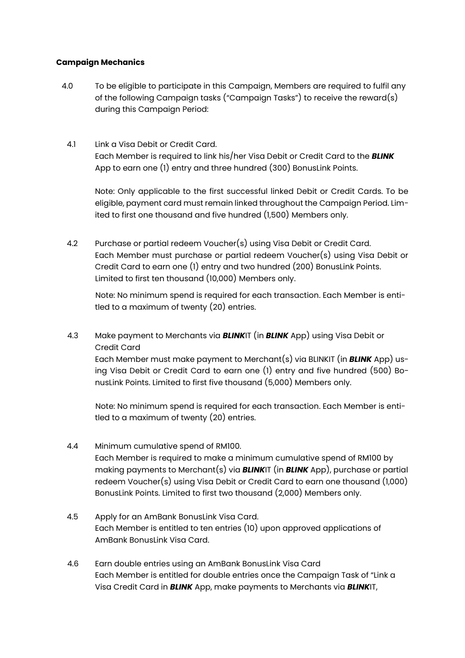# **Campaign Mechanics**

- 4.0 To be eligible to participate in this Campaign, Members are required to fulfil any of the following Campaign tasks ("Campaign Tasks") to receive the reward(s) during this Campaign Period:
- 4.1 Link a Visa Debit or Credit Card. Each Member is required to link his/her Visa Debit or Credit Card to the *BLINK* App to earn one (1) entry and three hundred (300) BonusLink Points.

Note: Only applicable to the first successful linked Debit or Credit Cards. To be eligible, payment card must remain linked throughout the Campaign Period. Limited to first one thousand and five hundred (1,500) Members only.

4.2 Purchase or partial redeem Voucher(s) using Visa Debit or Credit Card. Each Member must purchase or partial redeem Voucher(s) using Visa Debit or Credit Card to earn one (1) entry and two hundred (200) BonusLink Points. Limited to first ten thousand (10,000) Members only.

Note: No minimum spend is required for each transaction. Each Member is entitled to a maximum of twenty (20) entries.

4.3 Make payment to Merchants via *BLINK*IT (in *BLINK* App) using Visa Debit or Credit Card

Each Member must make payment to Merchant(s) via BLINKIT (in *BLINK* App) using Visa Debit or Credit Card to earn one (1) entry and five hundred (500) BonusLink Points. Limited to first five thousand (5,000) Members only.

Note: No minimum spend is required for each transaction. Each Member is entitled to a maximum of twenty (20) entries.

- 4.4 Minimum cumulative spend of RM100. Each Member is required to make a minimum cumulative spend of RM100 by making payments to Merchant(s) via *BLINK*IT (in *BLINK* App), purchase or partial redeem Voucher(s) using Visa Debit or Credit Card to earn one thousand (1,000) BonusLink Points. Limited to first two thousand (2,000) Members only.
- 4.5 Apply for an AmBank BonusLink Visa Card. Each Member is entitled to ten entries (10) upon approved applications of AmBank BonusLink Visa Card.
- 4.6 Earn double entries using an AmBank BonusLink Visa Card Each Member is entitled for double entries once the Campaign Task of "Link a Visa Credit Card in *BLINK* App, make payments to Merchants via *BLINK*IT,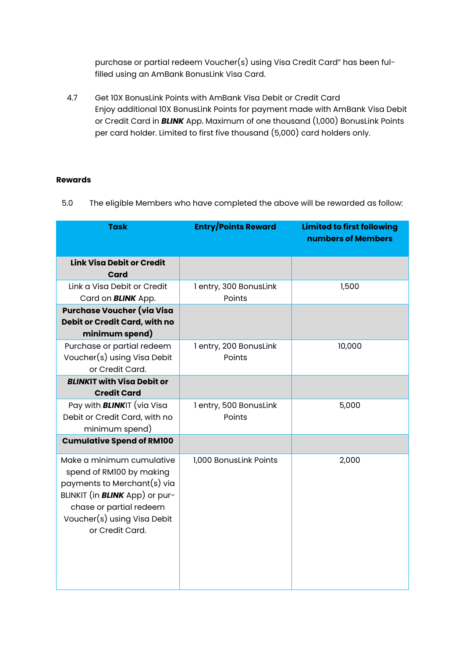purchase or partial redeem Voucher(s) using Visa Credit Card" has been fulfilled using an AmBank BonusLink Visa Card.

4.7 Get 10X BonusLink Points with AmBank Visa Debit or Credit Card Enjoy additional 10X BonusLink Points for payment made with AmBank Visa Debit or Credit Card in *BLINK* App. Maximum of one thousand (1,000) BonusLink Points per card holder. Limited to first five thousand (5,000) card holders only.

# **Rewards**

5.0 The eligible Members who have completed the above will be rewarded as follow:

| <b>Task</b>                                                                                                                                                                                                | <b>Entry/Points Reward</b>       | <b>Limited to first following</b><br>numbers of Members |
|------------------------------------------------------------------------------------------------------------------------------------------------------------------------------------------------------------|----------------------------------|---------------------------------------------------------|
| <b>Link Visa Debit or Credit</b><br>Card                                                                                                                                                                   |                                  |                                                         |
| Link a Visa Debit or Credit<br>Card on <b>BLINK</b> App.                                                                                                                                                   | 1 entry, 300 BonusLink<br>Points | 1,500                                                   |
| Purchase Voucher (via Visa<br>Debit or Credit Card, with no<br>minimum spend)                                                                                                                              |                                  |                                                         |
| Purchase or partial redeem<br>Voucher(s) using Visa Debit<br>or Credit Card.                                                                                                                               | 1 entry, 200 BonusLink<br>Points | 10,000                                                  |
| <b>BLINKIT with Visa Debit or</b><br><b>Credit Card</b>                                                                                                                                                    |                                  |                                                         |
| Pay with <b>BLINK</b> IT (via Visa<br>Debit or Credit Card, with no<br>minimum spend)                                                                                                                      | 1 entry, 500 BonusLink<br>Points | 5,000                                                   |
| <b>Cumulative Spend of RM100</b>                                                                                                                                                                           |                                  |                                                         |
| Make a minimum cumulative<br>spend of RM100 by making<br>payments to Merchant(s) via<br>BLINKIT (in <b>BLINK</b> App) or pur-<br>chase or partial redeem<br>Voucher(s) using Visa Debit<br>or Credit Card. | 1,000 BonusLink Points           | 2,000                                                   |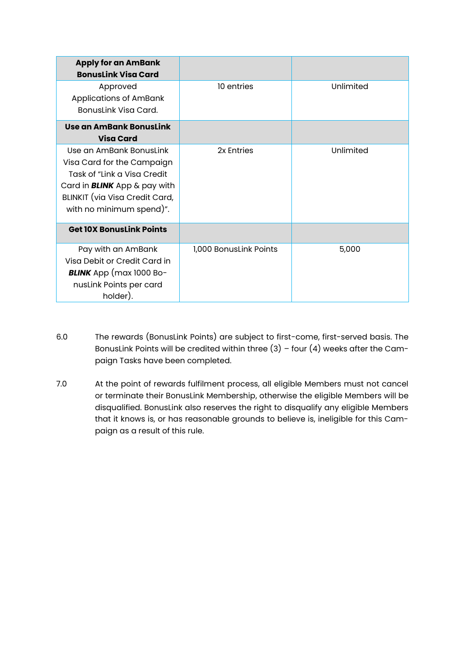| <b>Apply for an AmBank</b><br><b>BonusLink Visa Card</b>                                                                                                                                   |                        |           |
|--------------------------------------------------------------------------------------------------------------------------------------------------------------------------------------------|------------------------|-----------|
| Approved<br><b>Applications of AmBank</b><br>Bonuslink Visa Card.                                                                                                                          | 10 entries             | Unlimited |
| Use an AmBank BonusLink<br><b>Visa Card</b>                                                                                                                                                |                        |           |
| Use an AmBank Bonuslink<br>Visa Card for the Campaign<br>Task of "Link a Visa Credit"<br>Card in <b>BLINK</b> App & pay with<br>BLINKIT (via Visa Credit Card,<br>with no minimum spend)". | 2x Entries             | Unlimited |
| <b>Get 10X BonusLink Points</b>                                                                                                                                                            |                        |           |
| Pay with an AmBank<br>Visa Debit or Credit Card in<br><b>BLINK</b> App (max 1000 Bo-<br>nusLink Points per card<br>holder).                                                                | 1,000 BonusLink Points | 5,000     |

- 6.0 The rewards (BonusLink Points) are subject to first-come, first-served basis. The BonusLink Points will be credited within three  $(3)$  - four  $(4)$  weeks after the Campaign Tasks have been completed.
- 7.0 At the point of rewards fulfilment process, all eligible Members must not cancel or terminate their BonusLink Membership, otherwise the eligible Members will be disqualified. BonusLink also reserves the right to disqualify any eligible Members that it knows is, or has reasonable grounds to believe is, ineligible for this Campaign as a result of this rule.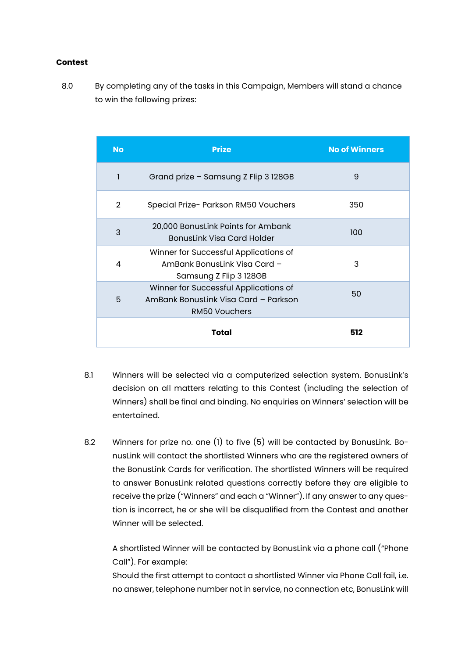### **Contest**

8.0 By completing any of the tasks in this Campaign, Members will stand a chance to win the following prizes:

| <b>No</b>      | <b>Prize</b>                                                                                          | <b>No of Winners</b> |
|----------------|-------------------------------------------------------------------------------------------------------|----------------------|
| 1              | Grand prize - Samsung Z Flip 3 128GB                                                                  | 9                    |
| $\overline{2}$ | Special Prize- Parkson RM50 Vouchers                                                                  | 350                  |
| 3              | 20,000 BonusLink Points for Ambank<br>BonusLink Visa Card Holder                                      | 100                  |
| 4              | Winner for Successful Applications of<br>AmBank Bonuslink Visa Card -<br>Samsung Z Flip 3 128GB       | 3                    |
| 5              | Winner for Successful Applications of<br>AmBank BonusLink Visa Card - Parkson<br><b>RM50 Vouchers</b> | 50                   |
|                | Total                                                                                                 | 512                  |

- 8.1 Winners will be selected via a computerized selection system. BonusLink's decision on all matters relating to this Contest (including the selection of Winners) shall be final and binding. No enquiries on Winners' selection will be entertained.
- 8.2 Winners for prize no. one (1) to five (5) will be contacted by BonusLink. BonusLink will contact the shortlisted Winners who are the registered owners of the BonusLink Cards for verification. The shortlisted Winners will be required to answer BonusLink related questions correctly before they are eligible to receive the prize ("Winners" and each a "Winner"). If any answer to any question is incorrect, he or she will be disqualified from the Contest and another Winner will be selected.

A shortlisted Winner will be contacted by BonusLink via a phone call ("Phone Call"). For example:

Should the first attempt to contact a shortlisted Winner via Phone Call fail, i.e. no answer, telephone number not in service, no connection etc, BonusLink will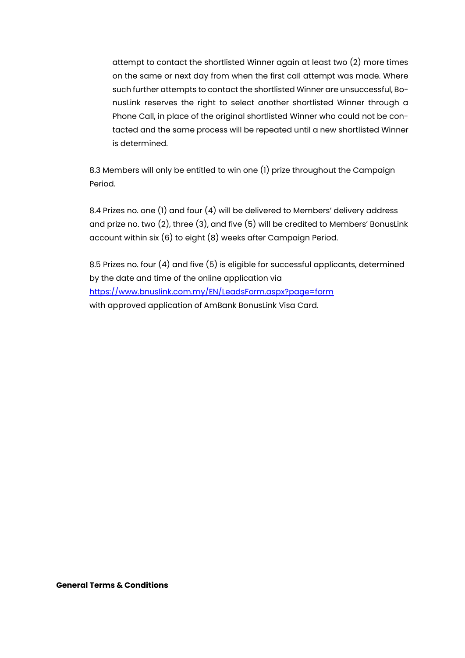attempt to contact the shortlisted Winner again at least two (2) more times on the same or next day from when the first call attempt was made. Where such further attempts to contact the shortlisted Winner are unsuccessful, BonusLink reserves the right to select another shortlisted Winner through a Phone Call, in place of the original shortlisted Winner who could not be contacted and the same process will be repeated until a new shortlisted Winner is determined.

8.3 Members will only be entitled to win one (1) prize throughout the Campaign Period.

8.4 Prizes no. one (1) and four (4) will be delivered to Members' delivery address and prize no. two (2), three (3), and five (5) will be credited to Members' BonusLink account within six (6) to eight (8) weeks after Campaign Period.

8.5 Prizes no. four (4) and five (5) is eligible for successful applicants, determined by the date and time of the online application via [https://www.bnuslink.com.my/EN/LeadsForm.aspx?page=form](https://www.bonuslink.com.my/EN/LeadsForm.aspx?page=form) with approved application of AmBank BonusLink Visa Card.

#### **General Terms & Conditions**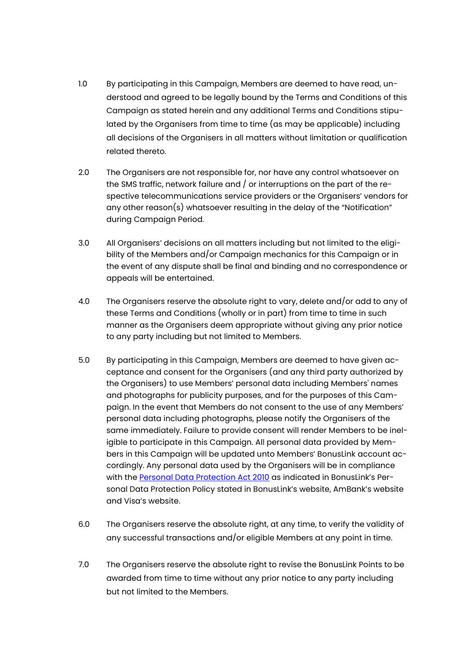- 1.0 By participating in this Campaign, Members are deemed to have read, understood and agreed to be legally bound by the Terms and Conditions of this Campaign as stated herein and any additional Terms and Conditions stipulated by the Organisers from time to time (as may be applicable) including all decisions of the Organisers in all matters without limitation or qualification related thereto.
- 2.0 The Organisers are not responsible for, nor have any control whatsoever on the SMS traffic, network failure and / or interruptions on the part of the respective telecommunications service providers or the Organisers' vendors for any other reason(s) whatsoever resulting in the delay of the "Notification" during Campaign Period.
- 3.0 All Organisers' decisions on all matters including but not limited to the eligibility of the Members and/or Campaign mechanics for this Campaign or in the event of any dispute shall be final and binding and no correspondence or appeals will be entertained.
- 4.0 The Organisers reserve the absolute right to vary, delete and/or add to any of these Terms and Conditions (wholly or in part) from time to time in such manner as the Organisers deem appropriate without giving any prior notice to any party including but not limited to Members.
- 5.0 By participating in this Campaign, Members are deemed to have given acceptance and consent for the Organisers (and any third party authorized by the Organisers) to use Members' personal data including Members' names and photographs for publicity purposes, and for the purposes of this Campaign. In the event that Members do not consent to the use of any Members' personal data including photographs, please notify the Organisers of the same immediately. Failure to provide consent will render Members to be ineligible to participate in this Campaign. All personal data provided by Members in this Campaign will be updated unto Members' BonusLink account accordingly. Any personal data used by the Organisers will be in compliance with the [Personal Data Protection Act 2010](https://www.bonuslink.com.my/EN/PrivacyNotice.aspx) as indicated in BonusLink's Personal Data Protection Policy stated in BonusLink's website, AmBank's website and Visa's website.
- 6.0 The Organisers reserve the absolute right, at any time, to verify the validity of any successful transactions and/or eligible Members at any point in time.
- 7.0 The Organisers reserve the absolute right to revise the BonusLink Points to be awarded from time to time without any prior notice to any party including but not limited to the Members.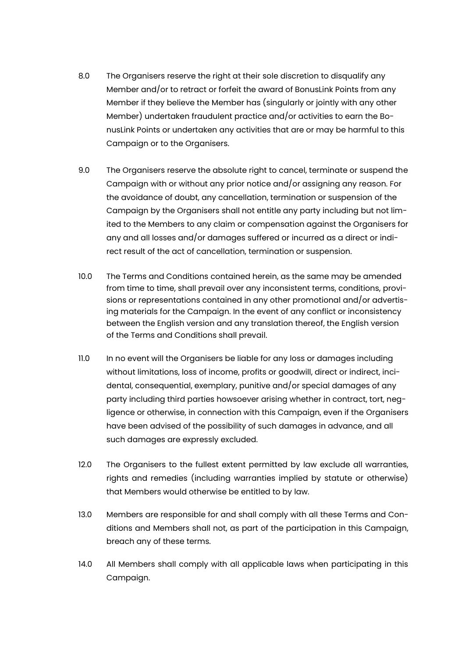- 8.0 The Organisers reserve the right at their sole discretion to disqualify any Member and/or to retract or forfeit the award of BonusLink Points from any Member if they believe the Member has (singularly or jointly with any other Member) undertaken fraudulent practice and/or activities to earn the BonusLink Points or undertaken any activities that are or may be harmful to this Campaign or to the Organisers.
- 9.0 The Organisers reserve the absolute right to cancel, terminate or suspend the Campaign with or without any prior notice and/or assigning any reason. For the avoidance of doubt, any cancellation, termination or suspension of the Campaign by the Organisers shall not entitle any party including but not limited to the Members to any claim or compensation against the Organisers for any and all losses and/or damages suffered or incurred as a direct or indirect result of the act of cancellation, termination or suspension.
- 10.0 The Terms and Conditions contained herein, as the same may be amended from time to time, shall prevail over any inconsistent terms, conditions, provisions or representations contained in any other promotional and/or advertising materials for the Campaign. In the event of any conflict or inconsistency between the English version and any translation thereof, the English version of the Terms and Conditions shall prevail.
- 11.0 In no event will the Organisers be liable for any loss or damages including without limitations, loss of income, profits or goodwill, direct or indirect, incidental, consequential, exemplary, punitive and/or special damages of any party including third parties howsoever arising whether in contract, tort, negligence or otherwise, in connection with this Campaign, even if the Organisers have been advised of the possibility of such damages in advance, and all such damages are expressly excluded.
- 12.0 The Organisers to the fullest extent permitted by law exclude all warranties, rights and remedies (including warranties implied by statute or otherwise) that Members would otherwise be entitled to by law.
- 13.0 Members are responsible for and shall comply with all these Terms and Conditions and Members shall not, as part of the participation in this Campaign, breach any of these terms.
- 14.0 All Members shall comply with all applicable laws when participating in this Campaign.